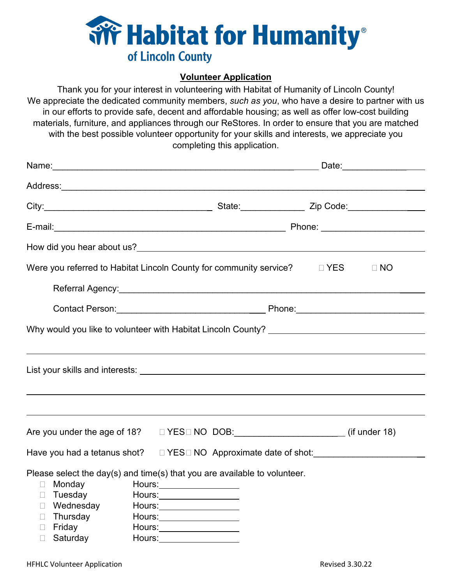

## **Volunteer Application**

Thank you for your interest in volunteering with Habitat of Humanity of Lincoln County! We appreciate the dedicated community members, *such as you*, who have a desire to partner with us in our efforts to provide safe, decent and affordable housing; as well as offer low-cost building materials, furniture, and appliances through our ReStores. In order to ensure that you are matched with the best possible volunteer opportunity for your skills and interests, we appreciate you completing this application.

| Were you referred to Habitat Lincoln County for community service? $\Box$ YES                                                                                                                         |                                                                                                                                                                               | $\Box$ NO |  |
|-------------------------------------------------------------------------------------------------------------------------------------------------------------------------------------------------------|-------------------------------------------------------------------------------------------------------------------------------------------------------------------------------|-----------|--|
| Contact Person: <u>Contact Person</u> : Contact Person: Contact Person: Contact Person:                                                                                                               |                                                                                                                                                                               |           |  |
| Why would you like to volunteer with Habitat Lincoln County? ____________________                                                                                                                     |                                                                                                                                                                               |           |  |
|                                                                                                                                                                                                       |                                                                                                                                                                               |           |  |
|                                                                                                                                                                                                       |                                                                                                                                                                               |           |  |
|                                                                                                                                                                                                       |                                                                                                                                                                               |           |  |
|                                                                                                                                                                                                       |                                                                                                                                                                               |           |  |
| Are you under the age of 18?  □ YES□ NO DOB: _______________________(if under 18)                                                                                                                     |                                                                                                                                                                               |           |  |
| Have you had a tetanus shot? $\square$ YES $\square$ NO Approximate date of shot:                                                                                                                     |                                                                                                                                                                               |           |  |
| Please select the day(s) and time(s) that you are available to volunteer.<br>Monday<br>П.<br>Tuesday<br>$\Box$<br>Wednesday<br>$\Box$<br>Thursday<br>$\Box$<br>Friday<br>$\Box$<br>Saturday<br>$\Box$ | Hours:__________________<br>Hours:___________________<br>Hours:___________________<br>Hours:___________________<br>Hours: _____________________<br>Hours:____________________ |           |  |